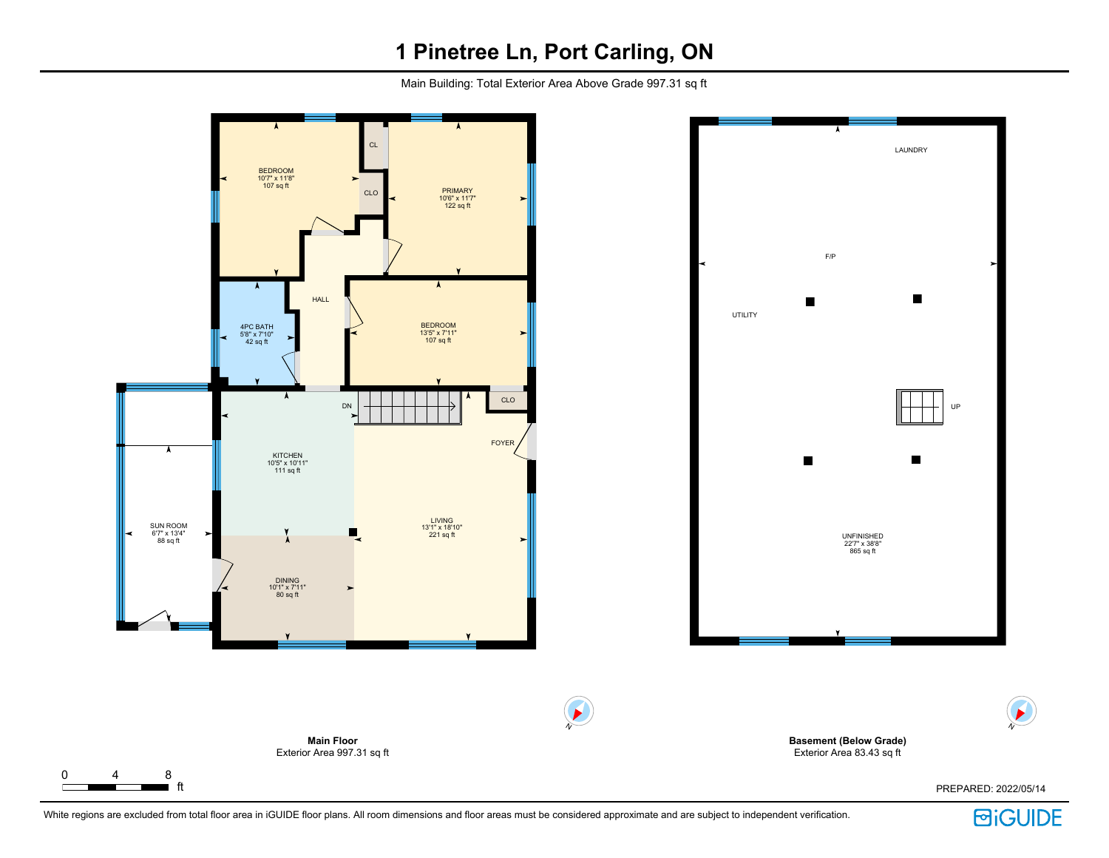# **1 Pinetree Ln, Port Carling, ON**

Main Building: Total Exterior Area Above Grade 997.31 sq ft



**BiGUIDE** 

N

 $\blacktriangleright$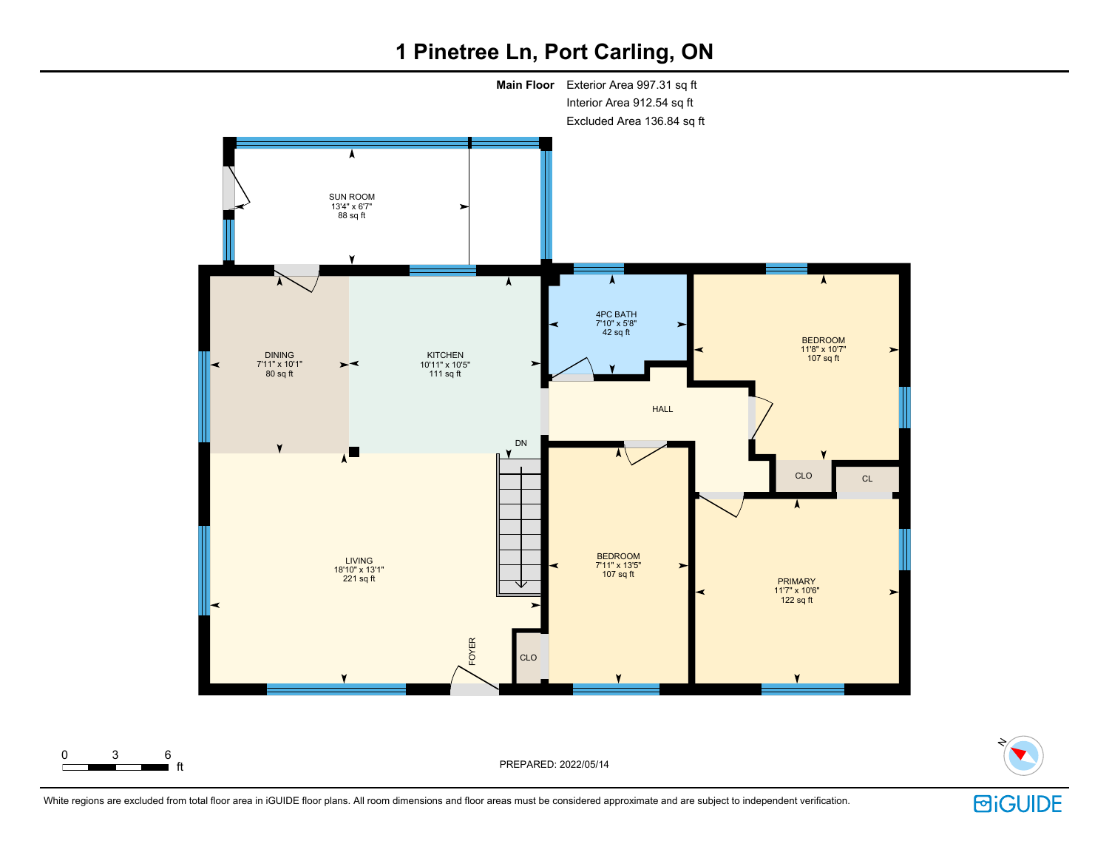# **1 Pinetree Ln, Port Carling, ON**





PREPARED: 2022/05/14

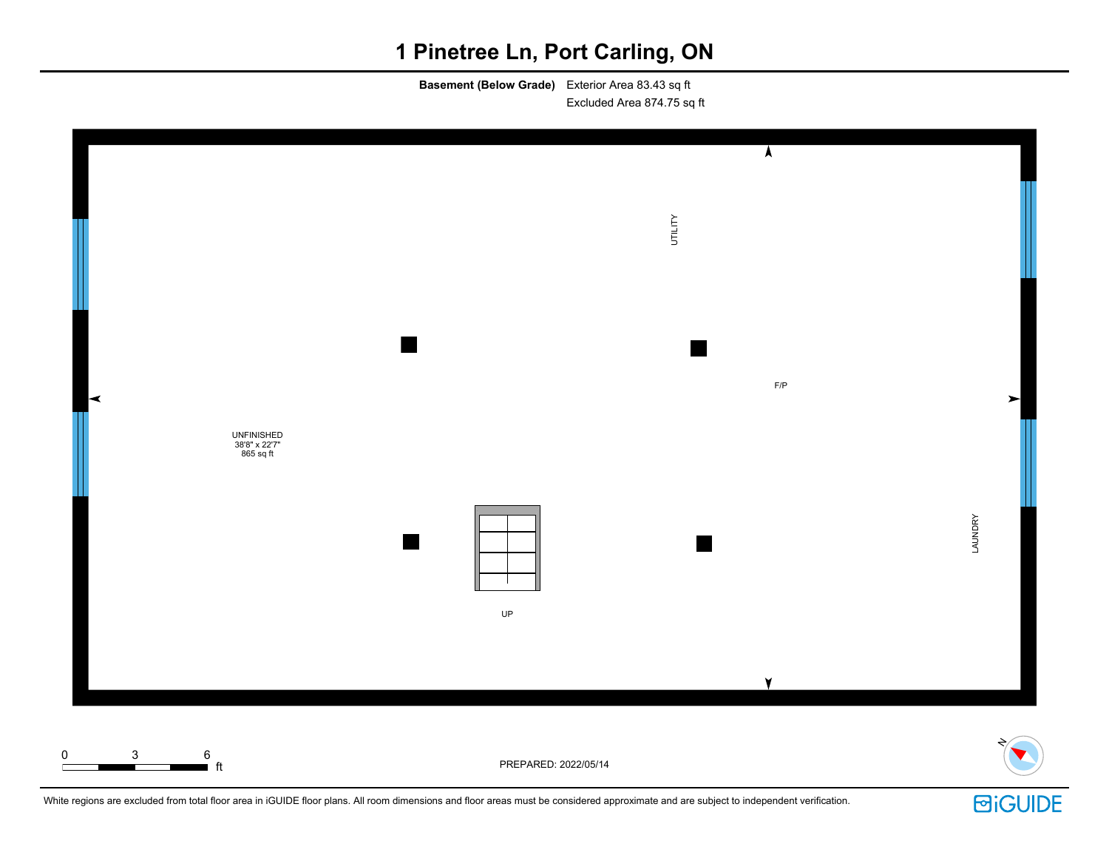# **1 Pinetree Ln, Port Carling, ON**

**Basement (Below Grade)** Exterior Area 83.43 sq ft Excluded Area 874.75 sq ft



White regions are excluded from total floor area in iGUIDE floor plans. All room dimensions and floor areas must be considered approximate and are subject to independent verification.

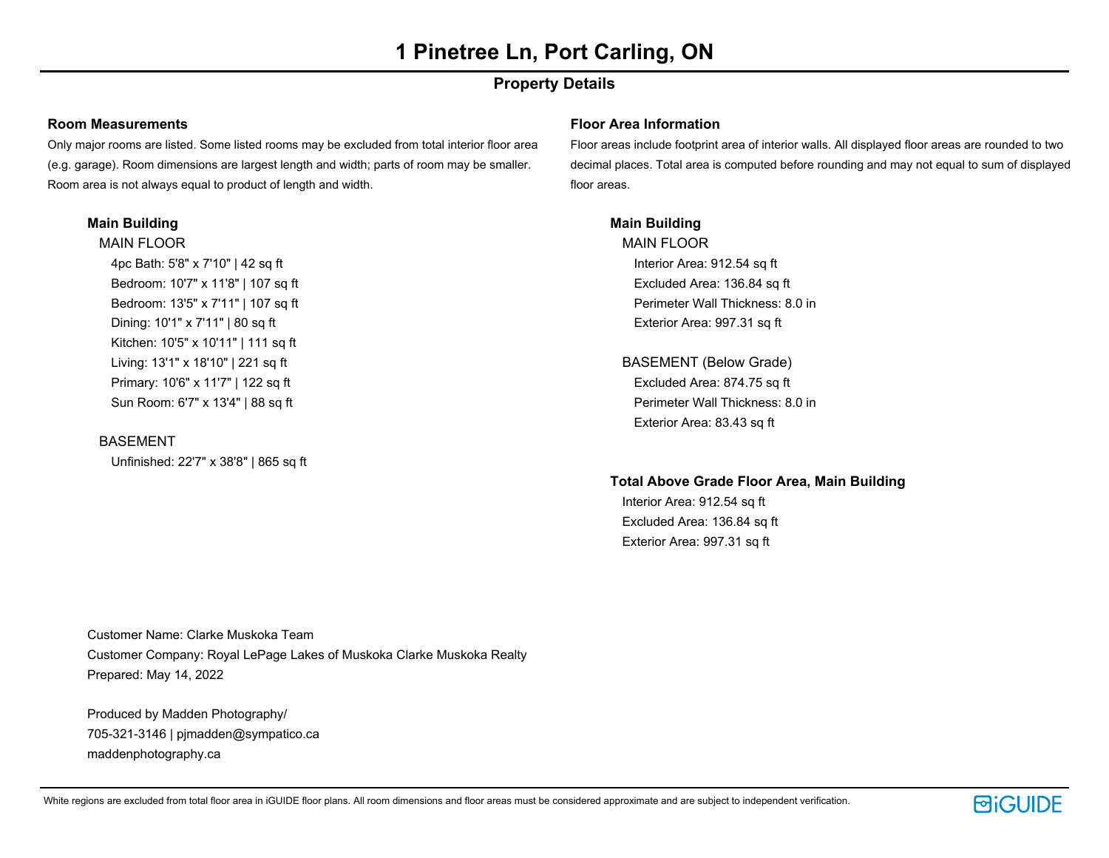# **Property Details**

# **Room Measurements**

Only major rooms are listed. Some listed rooms may be excluded from total interior floor area (e.g. garage). Room dimensions are largest length and width; parts of room may be smaller. Room area is not always equal to product of length and width.

# **Main Building**

MAIN FLOOR 4pc Bath: 5'8" x 7'10" | 42 sq ft Bedroom: 10'7" x 11'8" | 107 sq ft Bedroom: 13'5" x 7'11" | 107 sq ft Dining: 10'1" x 7'11" | 80 sq ft Kitchen: 10'5" x 10'11" | 111 sq ft Living: 13'1" x 18'10" | 221 sq ft Primary: 10'6" x 11'7" | 122 sq ft Sun Room: 6'7" x 13'4" | 88 sq ft

# BASEMENT

Unfinished: 22'7" x 38'8" | 865 sq ft

## **Floor Area Information**

Floor areas include footprint area of interior walls. All displayed floor areas are rounded to two decimal places. Total area is computed before rounding and may not equal to sum of displayed floor areas.

# **Main Building**

MAIN FLOOR Interior Area: 912.54 sq ft Excluded Area: 136.84 sq ft Perimeter Wall Thickness: 8.0 in Exterior Area: 997.31 sq ft

BASEMENT (Below Grade) Excluded Area: 874.75 sq ft Perimeter Wall Thickness: 8.0 in Exterior Area: 83.43 sq ft

### **Total Above Grade Floor Area, Main Building**

Interior Area: 912.54 sq ft Excluded Area: 136.84 sq ft Exterior Area: 997.31 sq ft

Customer Name: Clarke Muskoka Team Customer Company: Royal LePage Lakes of Muskoka Clarke Muskoka Realty Prepared: May 14, 2022

Produced by Madden Photography/ 705-321-3146 | pjmadden@sympatico.ca maddenphotography.ca